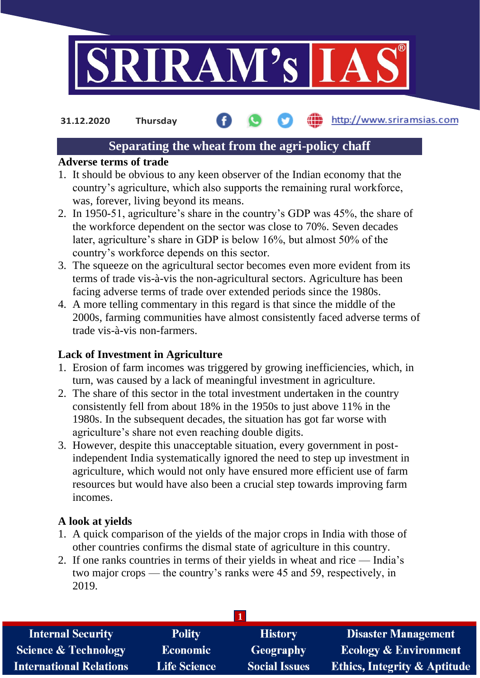

http://www.sriramsias.com **31.12.2020 Thursday**

# **Separating the wheat from the agri-policy chaff**

#### **Adverse terms of trade**

- 1. It should be obvious to any keen observer of the Indian economy that the country's agriculture, which also supports the remaining rural workforce, was, forever, living beyond its means.
- 2. In 1950-51, agriculture's share in the country's GDP was 45%, the share of the workforce dependent on the sector was close to 70%. Seven decades later, agriculture's share in GDP is below 16%, but almost 50% of the country's workforce depends on this sector.
- 3. The squeeze on the agricultural sector becomes even more evident from its terms of trade vis-à-vis the non-agricultural sectors. Agriculture has been facing adverse terms of trade over extended periods since the 1980s.
- 4. A more telling commentary in this regard is that since the middle of the 2000s, farming communities have almost consistently faced adverse terms of trade vis-à-vis non-farmers.

# **Lack of Investment in Agriculture**

- 1. Erosion of farm incomes was triggered by growing inefficiencies, which, in turn, was caused by a lack of meaningful investment in agriculture.
- 2. The share of this sector in the total investment undertaken in the country consistently fell from about 18% in the 1950s to just above 11% in the 1980s. In the subsequent decades, the situation has got far worse with agriculture's share not even reaching double digits.
- 3. However, despite this unacceptable situation, every government in postindependent India systematically ignored the need to step up investment in agriculture, which would not only have ensured more efficient use of farm resources but would have also been a crucial step towards improving farm incomes.

#### **A look at yields**

- 1. A quick comparison of the yields of the major crops in India with those of other countries confirms the dismal state of agriculture in this country.
- 2. If one ranks countries in terms of their yields in wheat and rice India's two major crops — the country's ranks were 45 and 59, respectively, in 2019.

| <b>Internal Security</b>        | <b>Polity</b>       | <b>History</b>       | <b>Disaster Management</b>              |  |  |  |
|---------------------------------|---------------------|----------------------|-----------------------------------------|--|--|--|
| <b>Science &amp; Technology</b> | <b>Economic</b>     | Geography            | <b>Ecology &amp; Environment</b>        |  |  |  |
| <b>International Relations</b>  | <b>Life Science</b> | <b>Social Issues</b> | <b>Ethics, Integrity &amp; Aptitude</b> |  |  |  |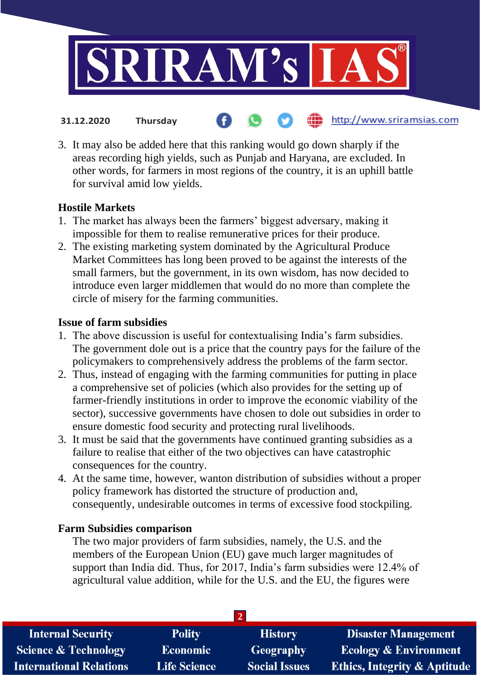

- http://www.sriramsias.com **31.12.2020 Thursday**
- 3. It may also be added here that this ranking would go down sharply if the areas recording high yields, such as Punjab and Haryana, are excluded. In other words, for farmers in most regions of the country, it is an uphill battle for survival amid low yields.

# **Hostile Markets**

- 1. The market has always been the farmers' biggest adversary, making it impossible for them to realise remunerative prices for their produce.
- 2. The existing marketing system dominated by the Agricultural Produce Market Committees has long been proved to be against the interests of the small farmers, but the government, in its own wisdom, has now decided to introduce even larger middlemen that would do no more than complete the circle of misery for the farming communities.

#### **Issue of farm subsidies**

- 1. The above discussion is useful for contextualising India's farm subsidies. The government dole out is a price that the country pays for the failure of the policymakers to comprehensively address the problems of the farm sector.
- 2. Thus, instead of engaging with the farming communities for putting in place a comprehensive set of policies (which also provides for the setting up of farmer-friendly institutions in order to improve the economic viability of the sector), successive governments have chosen to dole out subsidies in order to ensure domestic food security and protecting rural livelihoods.
- 3. It must be said that the governments have continued granting subsidies as a failure to realise that either of the two objectives can have catastrophic consequences for the country.
- 4. At the same time, however, wanton distribution of subsidies without a proper policy framework has distorted the structure of production and, consequently, undesirable outcomes in terms of excessive food stockpiling.

# **Farm Subsidies comparison**

The two major providers of farm subsidies, namely, the U.S. and the members of the European Union (EU) gave much larger magnitudes of support than India did. Thus, for 2017, India's farm subsidies were 12.4% of agricultural value addition, while for the U.S. and the EU, the figures were

| <b>Internal Security</b>        | <b>Polity</b>       | <b>History</b>       | <b>Disaster Management</b>              |  |  |  |
|---------------------------------|---------------------|----------------------|-----------------------------------------|--|--|--|
| <b>Science &amp; Technology</b> | <b>Economic</b>     | <b>Geography</b>     | <b>Ecology &amp; Environment</b>        |  |  |  |
| <b>International Relations</b>  | <b>Life Science</b> | <b>Social Issues</b> | <b>Ethics, Integrity &amp; Aptitude</b> |  |  |  |